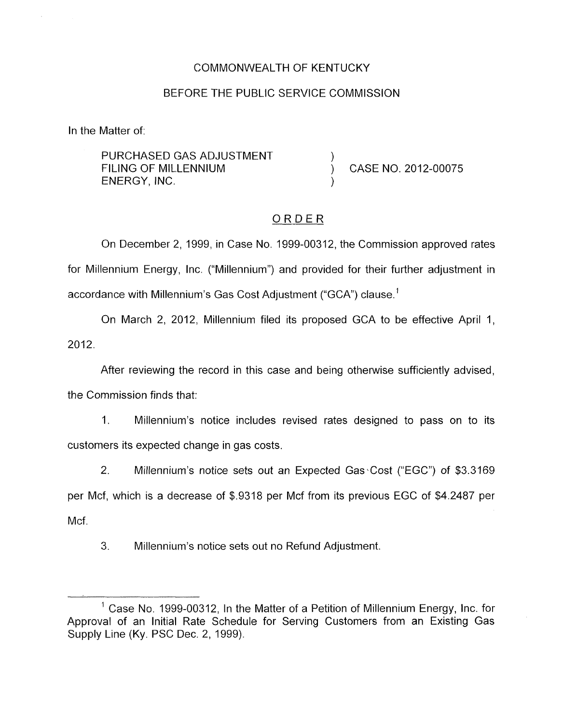### COMMONWEALTH OF KENTUCKY

#### BEFORE THE PUBLIC SERVICE COMMISSION

In the Matter of:

PURCHASED GAS ADJUSTMENT<br>FILING OF MILLENNIUM ENERGY, INC.

CASE NO. 2012-00075

# -~ ORDER

On December 2, 1999, in Case No. 1999-00312, the Commission approved rates for Millennium Energy, Inc. ("Millennium") and provided for their further adjustment in accordance with Millennium's Gas Cost Adjustment ("GCA") clause.<sup>1</sup>

On March 2, 2012, Millennium filed its proposed GCA to be effective April 1, 2012.

After reviewing the record in this case and being otherwise sufficiently advised, the Commission finds that:

1. Millennium's notice includes revised rates designed to pass on to its customers its expected change in gas costs

2. Millennium's notice sets out an Expected Gas Cost ("EGC") of \$3.3169 per Mcf, which is a decrease of \$.9318 per Mcf from its previous EGC of \$4.2487 per Mcf.

3. Millennium's notice sets out no Refund Adjustment.

 $<sup>1</sup>$  Case No. 1999-00312, In the Matter of a Petition of Millennium Energy, Inc. for</sup> Approval of an Initial Rate Schedule for Serving Customers from an Existing Gas Supply Line (Ky. PSC Dec. 2, 1999).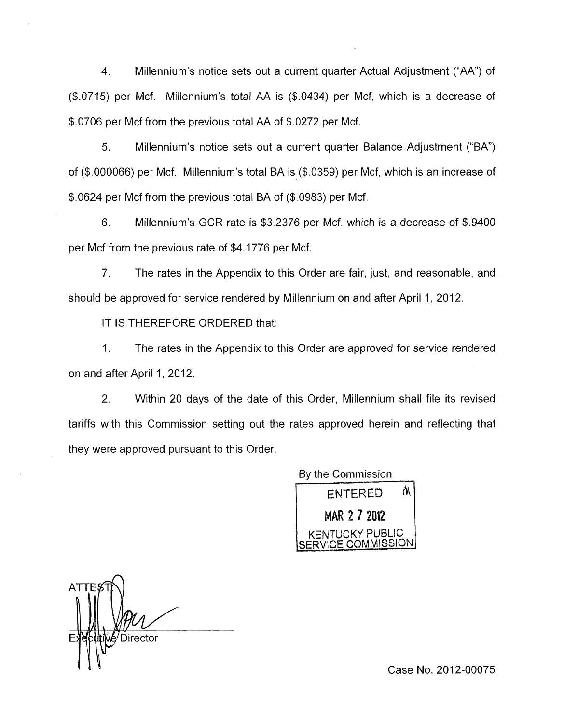4. Millennium's notice sets out a current quarter Actual Adjustment ("AA") of  $($ \$.0715) per Mcf. Millennium's total AA is  $($ \$.0434) per Mcf, which is a decrease of \$.0706 per Mcf from the previous total AA of \$.0272 per Mcf.

*5.* Millennium's notice sets out a current quarter Balance Adjustment ("BA") of (\$.000066) per Mcf. Millennium's total BA is (\$.0359) per Mcf, which is an increase of \$.0624 per Mcf from the previous total BA of (\$.0983) per Mcf.

6. Millennium's GCR rate is \$3.2376 per Mcf, which is a decrease of \$.9400 per Mcf from the previous rate of \$4.1776 per Mcf.

7. The rates in the Appendix to this Order are fair, just, and reasonable, and should be approved for service rendered by Millennium on and after April 1, 2012.

IT IS THEREFORE ORDERED that:

I. The rates in the Appendix to this Order are approved for service rendered on and after April 1, 2012.

2. Within 20 days of the date of this Order, Millennium shall file its revised tariffs with this Commission setting out the rates approved herein and reflecting that they were approved pursuant to this Order.

By the Commission

 $\sqrt{n}$ **ENTERED MAR 2 7 2012** KENTUCKY PUBLIC

**n**  'Director

Case No. 2012-00075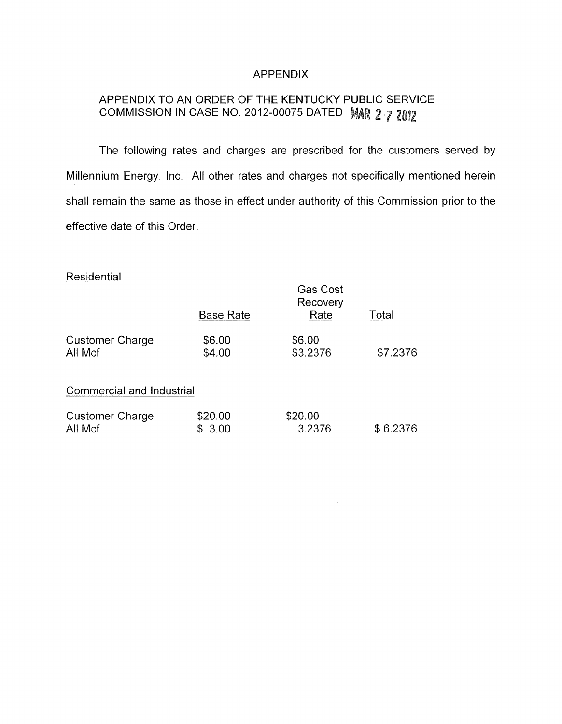#### APPENDIX

# APPENDIX TO AN ORDER OF THE KENTUCKY PUBLIC SERVICE **COMMISSION IN CASE NO. 2012-00075 DATED MAR 2 7 2012**

The following rates and charges are prescribed for the customers served by Millennium Energy, Inc. All other rates and charges not specifically mentioned herein shall remain the same as those in effect under authority of this Commission prior to the effective date of this Order.

l.

## **Residential**

|                                   | <b>Base Rate</b>     | Gas Cost<br>Recovery<br>Rate | Total    |
|-----------------------------------|----------------------|------------------------------|----------|
| <b>Customer Charge</b><br>All Mcf | \$6.00<br>\$4.00     | \$6.00<br>\$3.2376           | \$7.2376 |
| Commercial and Industrial         |                      |                              |          |
| <b>Customer Charge</b><br>All Mcf | \$20.00<br>3.00<br>S | \$20.00<br>3.2376            | \$6.2376 |